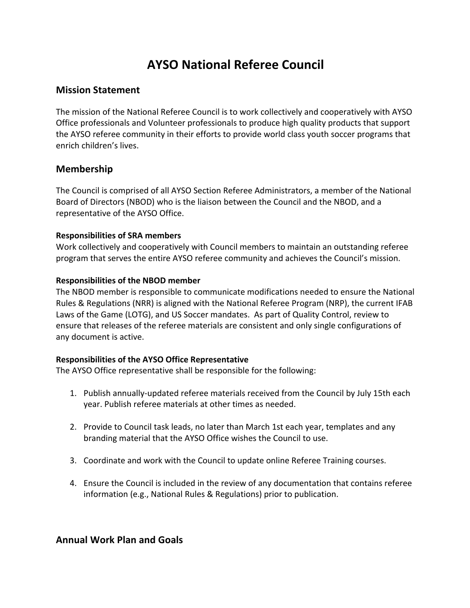# **AYSO National Referee Council**

## **Mission Statement**

The mission of the National Referee Council is to work collectively and cooperatively with AYSO Office professionals and Volunteer professionals to produce high quality products that support the AYSO referee community in their efforts to provide world class youth soccer programs that enrich children's lives.

## **Membership**

The Council is comprised of all AYSO Section Referee Administrators, a member of the National Board of Directors (NBOD) who is the liaison between the Council and the NBOD, and a representative of the AYSO Office.

#### **Responsibilities of SRA members**

Work collectively and cooperatively with Council members to maintain an outstanding referee program that serves the entire AYSO referee community and achieves the Council's mission.

#### **Responsibilities of the NBOD member**

The NBOD member is responsible to communicate modifications needed to ensure the National Rules & Regulations (NRR) is aligned with the National Referee Program (NRP), the current IFAB Laws of the Game (LOTG), and US Soccer mandates. As part of Quality Control, review to ensure that releases of the referee materials are consistent and only single configurations of any document is active.

### **Responsibilities of the AYSO Office Representative**

The AYSO Office representative shall be responsible for the following:

- 1. Publish annually-updated referee materials received from the Council by July 15th each year. Publish referee materials at other times as needed.
- 2. Provide to Council task leads, no later than March 1st each year, templates and any branding material that the AYSO Office wishes the Council to use.
- 3. Coordinate and work with the Council to update online Referee Training courses.
- 4. Ensure the Council is included in the review of any documentation that contains referee information (e.g., National Rules & Regulations) prior to publication.

## **Annual Work Plan and Goals**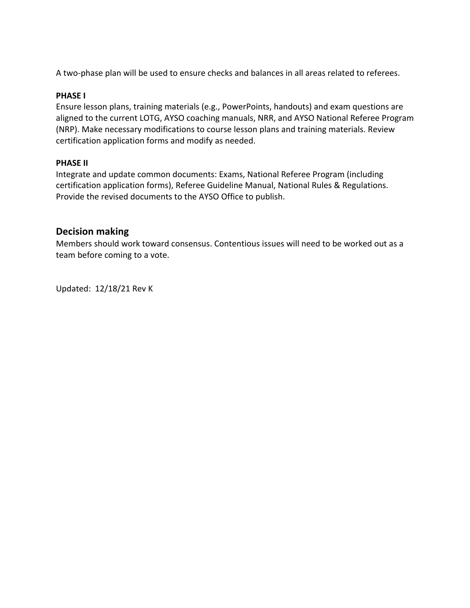A two-phase plan will be used to ensure checks and balances in all areas related to referees.

#### **PHASE I**

Ensure lesson plans, training materials (e.g., PowerPoints, handouts) and exam questions are aligned to the current LOTG, AYSO coaching manuals, NRR, and AYSO National Referee Program (NRP). Make necessary modifications to course lesson plans and training materials. Review certification application forms and modify as needed.

#### **PHASE II**

Integrate and update common documents: Exams, National Referee Program (including certification application forms), Referee Guideline Manual, National Rules & Regulations. Provide the revised documents to the AYSO Office to publish.

## **Decision making**

Members should work toward consensus. Contentious issues will need to be worked out as a team before coming to a vote.

Updated: 12/18/21 Rev K